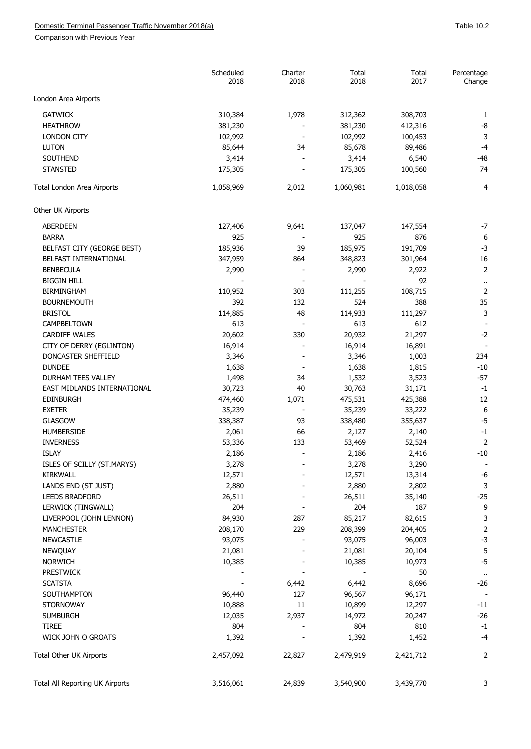Comparison with Previous Year

|                                 | Scheduled<br>2018 | Charter<br>2018          | Total<br>2018 | Total<br>2017 | Percentage<br>Change    |
|---------------------------------|-------------------|--------------------------|---------------|---------------|-------------------------|
| London Area Airports            |                   |                          |               |               |                         |
| <b>GATWICK</b>                  | 310,384           | 1,978                    | 312,362       | 308,703       | 1                       |
| <b>HEATHROW</b>                 | 381,230           |                          | 381,230       | 412,316       | -8                      |
| <b>LONDON CITY</b>              | 102,992           |                          | 102,992       | 100,453       | 3                       |
| <b>LUTON</b>                    | 85,644            | 34                       | 85,678        | 89,486        | $-4$                    |
| SOUTHEND                        | 3,414             |                          | 3,414         | 6,540         | $-48$                   |
| <b>STANSTED</b>                 | 175,305           |                          | 175,305       | 100,560       | 74                      |
|                                 |                   |                          |               |               |                         |
| Total London Area Airports      | 1,058,969         | 2,012                    | 1,060,981     | 1,018,058     | 4                       |
| Other UK Airports               |                   |                          |               |               |                         |
| <b>ABERDEEN</b>                 | 127,406           | 9,641                    | 137,047       | 147,554       | $-7$                    |
| <b>BARRA</b>                    | 925               |                          | 925           | 876           | 6                       |
| BELFAST CITY (GEORGE BEST)      | 185,936           | 39                       | 185,975       | 191,709       | $-3$                    |
| BELFAST INTERNATIONAL           | 347,959           | 864                      | 348,823       | 301,964       | 16                      |
| <b>BENBECULA</b>                | 2,990             |                          | 2,990         | 2,922         | $\overline{2}$          |
| <b>BIGGIN HILL</b>              |                   |                          |               | 92            | $\ddot{\phantom{0}}$    |
| <b>BIRMINGHAM</b>               | 110,952           | 303                      | 111,255       | 108,715       | $\overline{2}$          |
| <b>BOURNEMOUTH</b>              | 392               | 132                      | 524           | 388           | 35                      |
| <b>BRISTOL</b>                  | 114,885           | 48                       | 114,933       | 111,297       | 3                       |
| CAMPBELTOWN                     | 613               |                          | 613           | 612           |                         |
| <b>CARDIFF WALES</b>            | 20,602            | 330                      | 20,932        | 21,297        | $-2$                    |
| CITY OF DERRY (EGLINTON)        | 16,914            |                          | 16,914        | 16,891        |                         |
| DONCASTER SHEFFIELD             | 3,346             |                          | 3,346         | 1,003         | 234                     |
| <b>DUNDEE</b>                   | 1,638             |                          | 1,638         | 1,815         | $-10$                   |
| DURHAM TEES VALLEY              | 1,498             | 34                       | 1,532         | 3,523         | $-57$                   |
| EAST MIDLANDS INTERNATIONAL     | 30,723            | 40                       | 30,763        | 31,171        | $-1$                    |
| <b>EDINBURGH</b>                | 474,460           | 1,071                    | 475,531       | 425,388       | 12                      |
| <b>EXETER</b>                   | 35,239            |                          | 35,239        | 33,222        | 6                       |
| GLASGOW                         | 338,387           | 93                       | 338,480       | 355,637       | $-5$                    |
|                                 |                   |                          |               |               | $-1$                    |
| HUMBERSIDE                      | 2,061             | 66                       | 2,127         | 2,140         |                         |
| <b>INVERNESS</b>                | 53,336            | 133                      | 53,469        | 52,524        | $\overline{c}$          |
| <b>ISLAY</b>                    | 2,186             |                          | 2,186         | 2,416         | $-10$                   |
| ISLES OF SCILLY (ST.MARYS)      | 3,278             |                          | 3,278         | 3,290         |                         |
| <b>KIRKWALL</b>                 | 12,571            |                          | 12,571        | 13,314        | $-6$                    |
| LANDS END (ST JUST)             | 2,880             |                          | 2,880         | 2,802         | 3                       |
| <b>LEEDS BRADFORD</b>           | 26,511            |                          | 26,511        | 35,140        | $-25$                   |
| LERWICK (TINGWALL)              | 204               |                          | 204           | 187           | 9                       |
| LIVERPOOL (JOHN LENNON)         | 84,930            | 287                      | 85,217        | 82,615        | 3                       |
| <b>MANCHESTER</b>               | 208,170           | 229                      | 208,399       | 204,405       | $\overline{\mathbf{c}}$ |
| <b>NEWCASTLE</b>                | 93,075            |                          | 93,075        | 96,003        | $-3$                    |
| NEWQUAY                         | 21,081            |                          | 21,081        | 20,104        | 5                       |
| <b>NORWICH</b>                  | 10,385            |                          | 10,385        | 10,973        | $-5$                    |
| <b>PRESTWICK</b>                |                   |                          |               | 50            | $\ddot{\phantom{0}}$    |
| <b>SCATSTA</b>                  |                   | 6,442                    | 6,442         | 8,696         | $-26$                   |
| SOUTHAMPTON                     | 96,440            | 127                      | 96,567        | 96,171        |                         |
| <b>STORNOWAY</b>                | 10,888            | 11                       | 10,899        | 12,297        | $-11$                   |
| <b>SUMBURGH</b>                 | 12,035            | 2,937                    | 14,972        | 20,247        | $-26$                   |
| <b>TIREE</b>                    | 804               | $\overline{\phantom{a}}$ | 804           | 810           | $-1$                    |
| WICK JOHN O GROATS              | 1,392             |                          | 1,392         | 1,452         | -4                      |
| Total Other UK Airports         | 2,457,092         | 22,827                   | 2,479,919     | 2,421,712     | $\overline{\mathbf{c}}$ |
| Total All Reporting UK Airports | 3,516,061         | 24,839                   | 3,540,900     | 3,439,770     | 3                       |